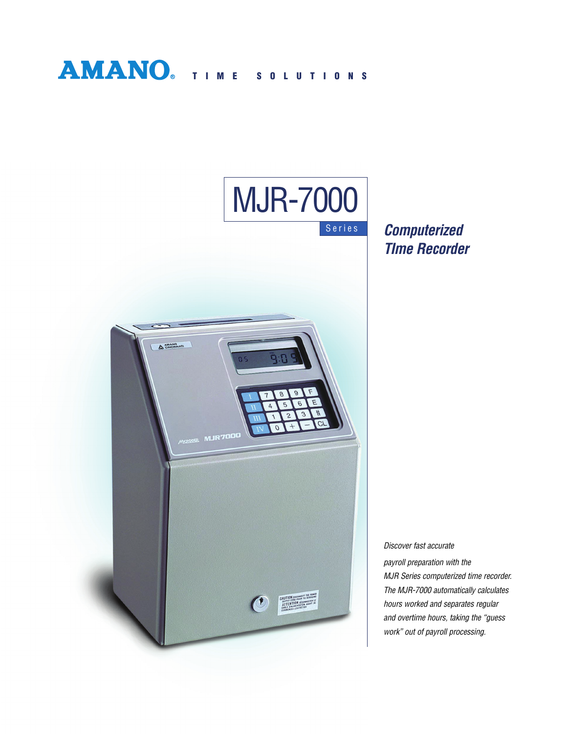



**Computerized TIme Recorder**

Discover fast accurate payroll preparation with the MJR Series computerized time recorder. The MJR-7000 automatically calculates hours worked and separates regular and overtime hours, taking the "guess work" out of payroll processing.